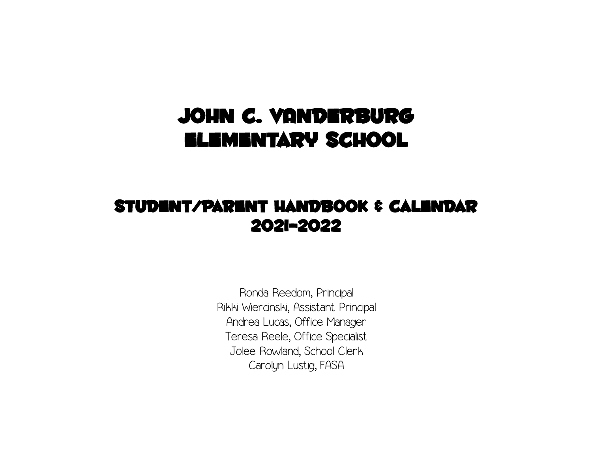# JOHN C. VANDERBURG Elementary School

# Student/Parent Handbook & Calendar 2021-2022

Ronda Reedom, Principal Rikki Wiercinski, Assistant Principal Andrea Lucas, Office Manager Teresa Reele, Office Specialist Jolee Rowland, School Clerk Carolyn Lustig, FASA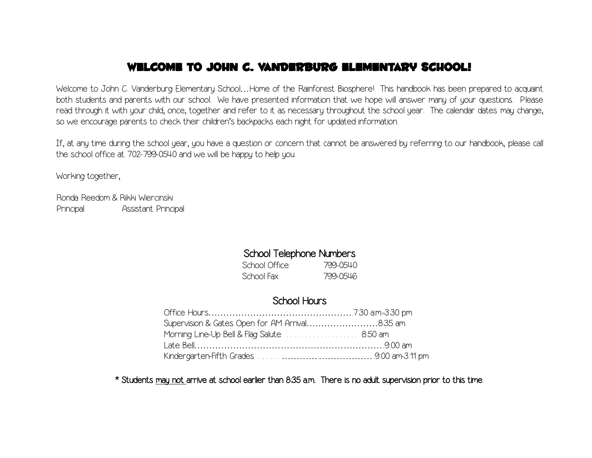## Welcome to John C. Vanderburg Elementary School!

Welcome to John C. Vanderburg Elementary School…Home of the Rainforest Biosphere! This handbook has been prepared to acquaint both students and parents with our school. We have presented information that we hope will answer many of your questions. Please read through it with your child, once, together and refer to it as necessary throughout the school year. The calendar dates may change, so we encourage parents to check their children's backpacks each night for updated information.

If, at any time during the school year, you have a question or concern that cannot be answered by referring to our handbook, please call the school office at 702-799-0540 and we will be happy to help you.

Working together,

Ronda Reedom & Rikki Wiercinski Principal Assistant Principal

## School Telephone Numbers

School Office: 799-0540 School Fax: 799-0546

## School Hours

| Supervision & Gates Open for AM Arrival8.35 am |  |
|------------------------------------------------|--|
|                                                |  |
|                                                |  |
|                                                |  |

\* Students may not arrive at school earlier than 8:35 a.m. There is no adult supervision prior to this time.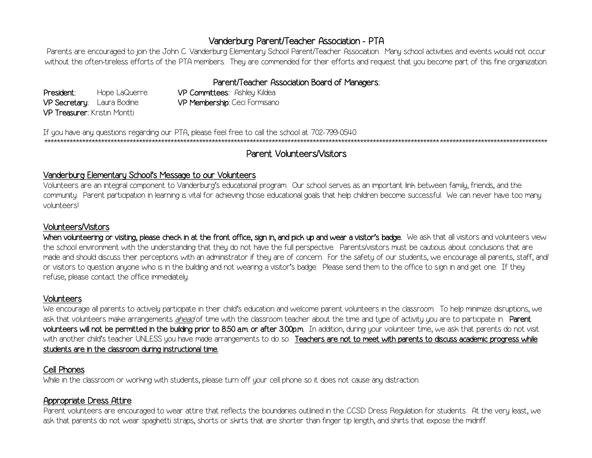## Vanderburg Parent/Teacher Association - PTA

Parents are encouraged to join the John C. Vanderburg Elementary School Parent/Teacher Association. Many school activities and events would not occur without the often-tireless efforts of the PTA members. They are commended for their efforts and request that you become part of this fine organization.

## Parent/Teacher Association Board of Managers:

President: Hope LaQuerre VP Secretaru: Laura Bodine VP Treasurer: Kristin Montti

VP Committees: Ashley Kildea VP Membership: Ceci Formisano

If you have any questions regarding our PTA, please feel free to call the school at 702-799-0540. 

## Parent Volunteers/Visitors

#### Vanderburg Elementary School's Message to our Volunteers

Volunteers are an integral component to Vanderburg's educational program. Our school serves as an important link between family, friends, and the community. Parent participation in learning is vital for achieving those educational goals that help children become successful. We can never have too many volunteersl

#### **Volunteers/Visitors**

When volunteering or visiting, please check in at the front office, sign in, and pick up and wear a visitor's badge. We ask that all visitors and volunteers view the school environment with the understanding that they do not have the full perspective. Parents/visitors must be cautious about conclusions that are made and should discuss their perceptions with an administrator if they are of concern. For the safety of our students, we encourage all parents, staff, and or visitors to question anyone who is in the building and not wearing a visitor's badge. Please send them to the office to sign in and get one. If they refuse, please contact the office immediately.

#### **Volunteers**

We encourage all parents to actively participate in their child's education and welcome parent volunteers in the classroom. To help minimize disruptions, we ask that volunteers make arrangements ahead of time with the classroom teacher about the time and type of activity you are to participate in. Parent volunteers will not be permitted in the building prior to 8:50 a.m. or after 3:00p.m. In addition, during your volunteer time, we ask that parents do not visit with another child's teacher UNLESS you have made arrangements to do so. Teachers are not to meet with parents to discuss academic progress while students are in the classroom during instructional time.

## Cell Phones

While in the classroom or working with students, please turn off your cell phone so it does not cause any distraction.

## Appropriate Dress Attire

Parent volunteers are encouraged to wear attire that reflects the boundaries outlined in the CCSD Dress Regulation for students. At the very least, we ask that parents do not wear spaghetti straps, shorts or skirts that are shorter than finger tip length, and shirts that expose the midriff.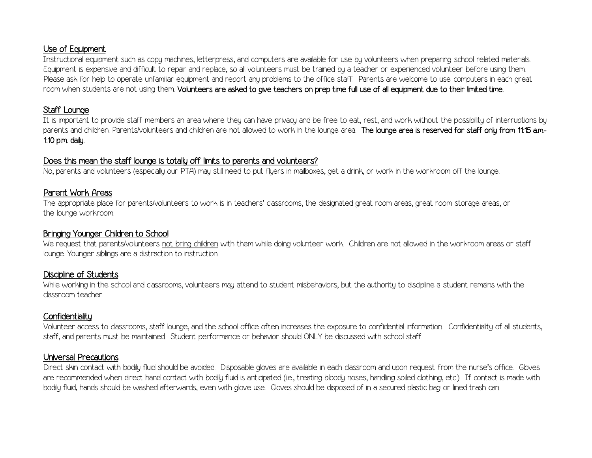## Use of Equipment

Instructional equipment such as copy machines, letterpress, and computers are available for use by volunteers when preparing school related materials. Equipment is expensive and difficult to repair and replace, so all volunteers must be trained by a teacher or experienced volunteer before using them. Please ask for help to operate unfamiliar equipment and report any problems to the office staff. Parents are welcome to use computers in each great room when students are not using them. Volunteers are asked to give teachers on prep time full use of all equipment due to their limited time.

## Staff Lounge

It is important to provide staff members an area where they can have privacy and be free to eat, rest, and work without the possibility of interruptions by parents and children. Parents/volunteers and children are not allowed to work in the lounge area. The lounge area is reserved for staff only from 11:15 am-1:10 p.m. daily.

### Does this mean the staff lounge is totally off limits to parents and volunteers?

No, parents and volunteers (especially our PTA) may still need to put flyers in mailboxes, get a drink, or work in the workroom off the lounge.

## Parent Work Areas

The appropriate place for parents/volunteers to work is in teachers' classrooms, the designated great room areas, great room storage areas, or the lounge workroom.

## Bringing Younger Children to School

We request that parents/volunteers not bring children with them while doing volunteer work. Children are not allowed in the workroom areas or staff lounge. Younger siblings are a distraction to instruction.

## Discipline of Students

While working in the school and classrooms, volunteers may attend to student misbehaviors, but the authority to discipline a student remains with the classroom teacher.

## **Confidentiality**

Volunteer access to classrooms, staff lounge, and the school office often increases the exposure to confidential information. Confidentiality of all students, staff, and parents must be maintained. Student performance or behavior should ONLY be discussed with school staff.

## Universal Precautions

Direct skin contact with bodily fluid should be avoided. Disposable gloves are available in each classroom and upon request from the nurse's office. Gloves are recommended when direct hand contact with bodily fluid is anticipated (i.e., treating bloody noses, handling soiled clothing, etc.). If contact is made with bodily fluid, hands should be washed afterwards, even with glove use. Gloves should be disposed of in a secured plastic bag or lined trash can.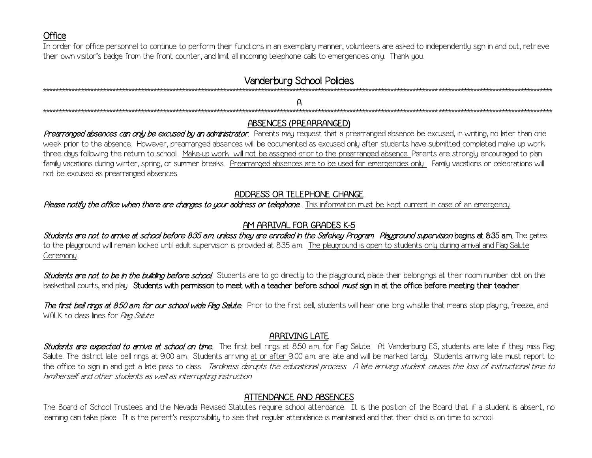## **Office**

In order for office personnel to continue to perform their functions in an exemplary manner, volunteers are asked to independently sign in and out, retrieve their own visitor's badge from the front counter, and limit all incoming telephone calls to emergencies only. Thank you.

## **Vanderburg School Policies**

## ABSENCES (PREARRANGED)

Prearranged absences can only be excused by an administrator. Parents may request that a prearranged absence be excused, in writing, no later than one week prior to the absence. However, prearranged absences will be documented as excused only after students have submitted completed make up work three days following the return to school. Make-up work will not be assigned prior to the prearranged absence. Parents are strongly encouraged to plan family vacations during winter, spring, or summer breaks. Prearranged absences are to be used for emergencies only. Family vacations or celebrations will not be excused as prearranged absences.

## ADDRESS OR TELEPHONE CHANGE

Please notify the office when there are changes to your address or telephone. This information must be kept current in case of an emergency.

## AM ARRIVAL FOR GRADES K-5

Students are not to arrive at school before 8:35 am unless they are enrolled in the Safekey Program. Playground supervision begins at 8:35 am. The gates to the playground will remain locked until adult supervision is provided at 8:35 a.m. The playground is open to students only during arrival and Flag Salute Ceremony.

Students are not to be in the building before school. Students are to go directly to the playground, place their belongings at their room number dot on the basketball courts, and play. Students with permission to meet with a teacher before school must sign in at the office before meeting their teacher.

The first bell rings at 8:50 am. for our school wide Flag Salute. Prior to the first bell, students will hear one long whistle that means stop playing, freeze, and WALK to class lines for Flag Salute

## **ARRIVING LATE**

Students are expected to arrive at school on time. The first bell rings at 8:50 am. for Flag Salute. At Vanderburg ES, students are late if they miss Flag Salute. The district late bell rings at 9:00 am. Students arriving at or after 9:00 am, are late and will be marked tardy. Students arriving late must report to the office to sign in and get a late pass to class. Tardiness disrupts the educational process. A late arriving student causes the loss of instructional time to him/herself and other students as well as interrupting instruction.

## ATTENDANCE AND ABSENCES

The Board of School Trustees and the Nevada Revised Statutes require school attendance. It is the position of the Board that if a student is absent, no learning can take place. It is the parent's responsibility to see that regular attendance is maintained and that their child is on time to school.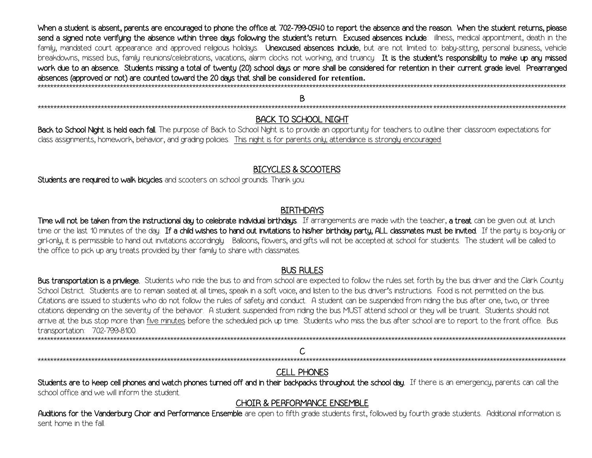When a student is absent, parents are encouraged to phone the office at 702-799-0540 to report the absence and the reason. When the student returns, please send a signed note verifying the absence within three days following the student's return. Excused absences include: illness, medical appointment, death in the family, mandated court appearance and approved religious holidays. Unexcused absences include, but are not limited to: baby-sitting, personal business, vehicle breakdowns, missed bus, family reunions/celebrations, vacations, alarm clocks not working, and truancy. It is the student's responsibility to make up any missed work due to an absence. Students missing a total of twenty (20) school days or more shall be considered for retention in their current grade level. Prearranged absences (approved or not) are counted toward the 20 days that shall be considered for retention. 

Β 

## **BACK TO SCHOOL NIGHT**

Back to School Night is held each fall. The purpose of Back to School Night is to provide an opportunity for teachers to outline their classroom expectations for class assignments, homework, behavior, and grading policies. This night is for parents only, attendance is strongly encouraged.

## **BICYCLES & SCOOTERS**

Students are required to walk bicycles and scooters on school grounds. Thank you.

### **BIRTHDAYS**

Time will not be taken from the instructional day to celebrate individual birthdays. If arrangements are made with the teacher, a treat can be given out at lunch time or the last 10 minutes of the day. If a child wishes to hand out invitations to his/her birthday party, ALL classmates must be invited. If the party is boy-only or girl-only, it is permissible to hand out invitations accordingly. Balloons, flowers, and gifts will not be accepted at school for students. The student will be called to the office to pick up any treats provided by their family to share with classmates.

## **BUS RULES**

Bus transportation is a privilege. Students who ride the bus to and from school are expected to follow the rules set forth by the bus driver and the Clark County School District. Students are to remain seated at all times, speak in a soft voice, and listen to the bus driver's instructions. Food is not permitted on the bus. Citations are issued to students who do not follow the rules of safety and conduct. A student can be suspended from riding the bus after one, two, or three citations depending on the severity of the behavior. A student suspended from riding the bus MUST attend school or they will be truant. Students should not arrive at the bus stop more than five minutes before the scheduled pick up time. Students who miss the bus after school are to report to the front office. Bus transportation: 702-799-8100. 

## **CELL PHONES**

Students are to keep cell phones and watch phones turned off and in their backpacks throughout the school day. If there is an emergency, parents can call the school office and we will inform the student

## **CHOIR & PERFORMANCE ENSEMBLE**

Auditions for the Vanderburg Choir and Performance Ensemble are open to fifth grade students first, followed by fourth grade students. Additional information is sent home in the fall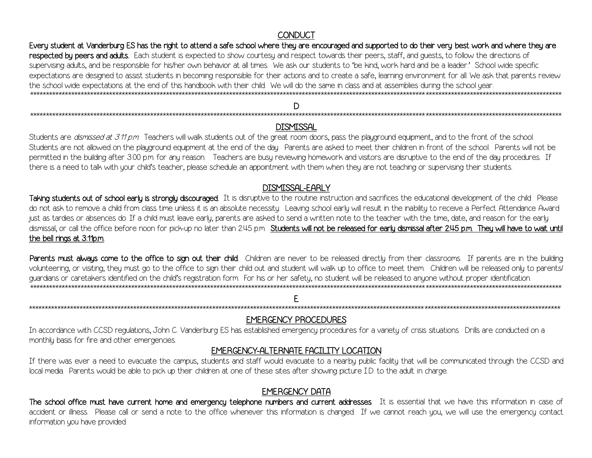## **CONDUCT**

Every student at Vanderburg ES has the right to attend a safe school where they are encouraged and supported to do their very best work and where they are respected by peers and adults. Each student is expected to show courtesy and respect towards their peers, staff, and quests, to follow the directions of supervising adults, and be responsible for his/her own behavior at all times. We ask our students to 'be kind, work hard and be a leader.' School wide specific expectations are designed to assist students in becoming responsible for their actions and to create a safe, learning environment for all. We ask that parents review the school wide expectations at the end of this handbook with their child. We will do the same in class and at assemblies during the school year. 

## D

## **DISMISSAL**

Students are *dismissed at 3:11 p.m.* Teachers will walk students out of the great room doors, pass the playground equipment, and to the front of the school. Students are not allowed on the playground equipment at the end of the day. Parents are asked to meet their children in front of the school. Parents will not be permitted in the building after 3:00 p.m. for any reason. Teachers are busy reviewing homework and visitors are disruptive to the end of the day procedures. If there is a need to talk with your child's teacher, please schedule an appointment with them when they are not teaching or supervising their students.

## **DISMISSAL-EARLY**

Taking students out of school early is strongly discouraged. It is disruptive to the routine instruction and sacrifices the educational development of the child. Please do not ask to remove a child from class time unless it is an absolute necessity. Leaving school early will result in the inability to receive a Perfect Attendance Award just as tardies or absences do. If a child must leave early, parents are asked to send a written note to the teacher with the time, date, and reason for the early dismissal, or call the office before noon for pick-up no later than 2:45 p.m. Students will not be released for early dismissal after 2:45 p.m. They will have to wait until the bell rings at 3:11p.m.

Parents must always come to the office to sign out their child. Children are never to be released directly from their classrooms. If parents are in the building volunteering, or visiting, they must go to the office to sign their child out and student will walk up to office to meet them. Children will be released only to parents/ guardians or caretakers identified on the child's registration form. For his or her safety, no student will be released to anyone without proper identification. 

#### F

#### **EMERGENCY PROCEDURES**

In accordance with CCSD regulations, John C. Vanderburg ES has established emergency procedures for a variety of crisis situations. Drills are conducted on a monthly basis for fire and other emergencies.

## EMERGENCY-ALTERNATE FACILITY LOCATION

If there was ever a need to evacuate the campus, students and staff would evacuate to a nearby public facility that will be communicated through the CCSD and local media. Parents would be able to pick up their children at one of these sites after showing picture I.D. to the adult in charge.

## **EMERGENCY DATA**

The school office must have current home and emergency telephone numbers and current addresses. It is essential that we have this information in case of accident or illness. Please call or send a note to the office whenever this information is changed. If we cannot reach you, we will use the emergency contact information you have provided.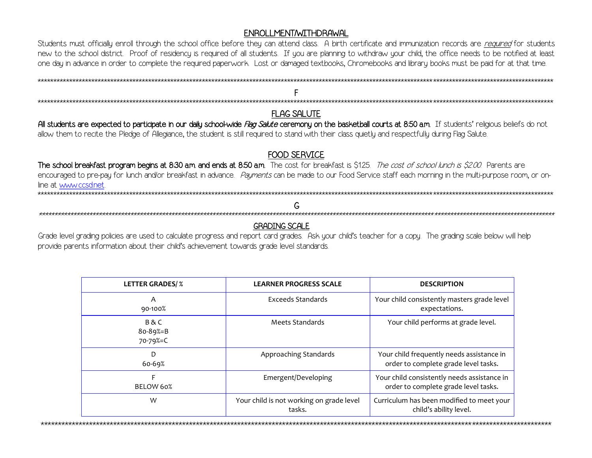#### ENROLLMENT/WITHDRAWAL

Students must officially enroll through the school office before they can attend class. A birth certificate and immunization records are required for students new to the school district. Proof of residency is required of all students. If you are planning to withdraw your child, the office needs to be notified at least one day in advance in order to complete the required paperwork. Lost or damaged textbooks, Chromebooks and library books must be paid for at that time.

**FLAG SALUTE** All students are expected to participate in our daily school-wide Flag Salute ceremony on the basketball courts at 8:50 a.m. If students' religious beliefs do not

allow them to recite the Pledge of Allegiance, the student is still required to stand with their class quietly and respectfully during Flag Salute.

## **FOOD SERVICE**

The school breakfast program begins at 8:30 a.m. and ends at 8:50 a.m. The cost for breakfast is \$1.25. The cost of school lunch is \$2.00. Parents are encouraged to pre-pay for lunch and/or breakfast in advance. Payments can be made to our Food Service staff each morning in the multi-purpose room, or online at www.ccsd.net \*\*\*\*\*\*\*\*\*\*\*\*\*\*\*\*\*\*\*\*\*\*\*\*\*\*\*\*\*\*\*\*\*\*\* 

#### G

#### **GRADING SCALE**

Grade level grading policies are used to calculate progress and report card grades. Ask your child's teacher for a copy. The grading scale below will help provide parents information about their child's achievement towards grade level standards.

| <b>LETTER GRADES/%</b>        | <b>LEARNER PROGRESS SCALE</b>                      | <b>DESCRIPTION</b>                                                                  |
|-------------------------------|----------------------------------------------------|-------------------------------------------------------------------------------------|
| A<br>90-100%                  | <b>Exceeds Standards</b>                           | Your child consistently masters grade level<br>expectations.                        |
| B & C<br>80-89%=B<br>70-79%=C | Meets Standards                                    | Your child performs at grade level.                                                 |
| D<br>60-69%                   | Approaching Standards                              | Your child frequently needs assistance in<br>order to complete grade level tasks.   |
| BELOW 60%                     | Emergent/Developing                                | Your child consistently needs assistance in<br>order to complete grade level tasks. |
| W                             | Your child is not working on grade level<br>tasks. | Curriculum has been modified to meet your<br>child's ability level.                 |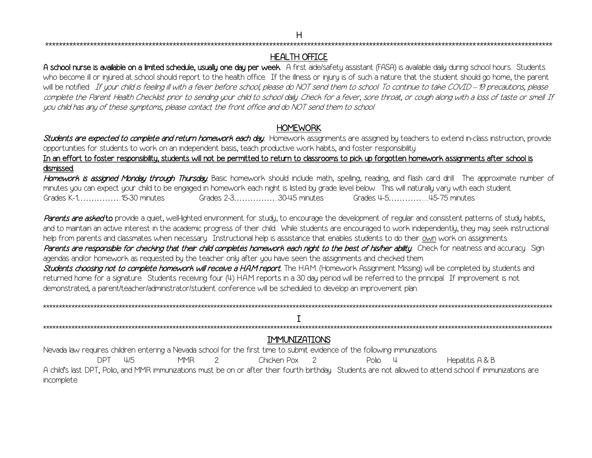\*\*\*\*\*\*\*\*\*\*\*\*\*\*\*\*\*\*\*\*\*\*\*\*\*\*\*\*\*\*\*\*\*\*\*\*\*\*\*\*\*\*\*\*\*\*\*\*\*\*\*\*\*\*\*\*\*\*\*\*\*\*\*\*\*\*\*\*\*\*\*\*\*\*\*\*\*\*\*\*\*\*\*\*\*\*\*\*\*\*\*\*\*\*\*\*\*\*\*\*\*\*\*\*\*\*\*\*\*\*\*\*\*\*\*\*\*\*\*\*\*\*\*\*\*\*\*\*\*\*\*\*\*\*\*\*\*\*\*\*\*\*\*\*\*\*\*

## HEALTH OFFICE

A school nurse is available on a limited schedule, usually one day per week. A first aide/safety assistant (FASA) is available daily during school hours. Students who become ill or injured at school should report to the health office. If the illness or injury is of such a nature that the student should go home, the parent will be notified. If your child is feeling ill with a fever before school, please do NOT send them to school. To continue to take COVID – 19 precautions, please complete the Parent Health Checklist prior to sending your child to school daily. Check for a fever, sore throat, or cough along with a loss of taste or smell. If you child has any of these symptoms, please contact the front office and do NOT send them to school.

## **HOMEWORK**

Students are expected to complete and return homework each day. Homework assignments are assigned by teachers to extend in-class instruction, provide opportunities for students to work on an independent basis, teach productive work habits, and foster responsibility.

In an effort to foster responsibility, students will not be permitted to return to classrooms to pick up forgotten homework assignments after school is dismissed.

Homework is assigned Monday through Thursday. Basic homework should include math, spelling, reading, and flash card drill. The approximate number of minutes you can expect your child to be engaged in homework each night is listed by grade level below. This will naturally vary with each student. Grades K-1……………..15-30 minutes Grades 2-3……………...30-45 minutes Grades 4-5………….......45-75 minutes

Parents are asked to provide a quiet, well-lighted environment for study, to encourage the development of regular and consistent patterns of study habits, and to maintain an active interest in the academic progress of their child. While students are encouraged to work independently, they may seek instructional help from parents and classmates when necessary. Instructional help is assistance that enables students to do their own work on assignments. Parents are responsible for checking that their child completes homework each night to the best of his/her ability. Check for neatness and accuracy. Sign agendas and/or homework as requested by the teacher only after you have seen the assignments and checked them.

Students choosing not to complete homework will receive a HAM report. The HAM (Homework Assignment Missing) will be completed by students and returned home for a signature. Students receiving four (4) H.A.M reports in a 30 day period will be referred to the principal. If improvement is not demonstrated, a parent/teacher/administrator/student conference will be scheduled to develop an improvement plan.

| <b>IMMUNIZATIONS</b>                                                                                                                                                      |                            |  |  |
|---------------------------------------------------------------------------------------------------------------------------------------------------------------------------|----------------------------|--|--|
| Nevada law requires children entering a Nevada school for the first time to submit evidence of the following immunizations:                                               |                            |  |  |
| <b>MMR</b><br>Chicken Pox 2<br>Ш5                                                                                                                                         | Hepatitis A & B<br>Polio 4 |  |  |
| A child's last DPT, Polio, and MMR immunizations must be on or after their fourth birthday. Students are not allowed to attend school if immunizations are<br>incomplete. |                            |  |  |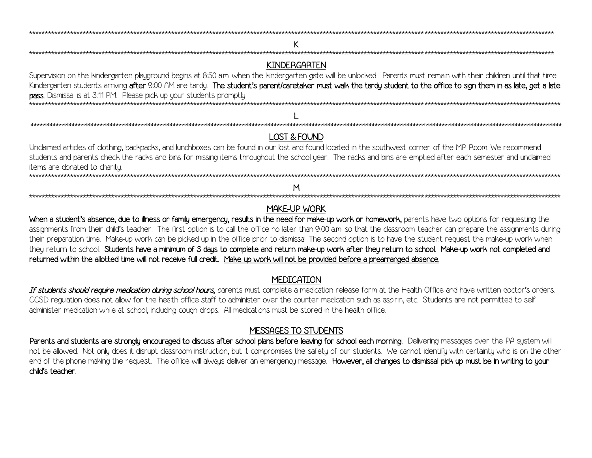## **KINDERGARTEN**

Supervision on the kindergarten playground begins at 8:50 am, when the kindergarten gate will be unlocked. Parents must remain with their children until that time. Kindergarten students arriving after 9:00 AM are tardy. The student's parent/caretaker must walk the tardy student to the office to sign them in as late, get a late **pass.** Dismissal is at 3:11 PM. Please pick up your students promptly. 

## **LOST & FOUND**

Unclaimed articles of clothing, backpacks, and lunchboxes can be found in our lost and found located in the southwest corner of the MP Room. We recommend students and parents check the racks and bins for missing items throughout the school year. The racks and bins are emptied after each semester and unclaimed items are donated to charity.

## MAKE-UP WORK

M

When a student's absence, due to illness or family emergency, results in the need for make-up work or homework, parents have two options for requesting the assignments from their child's teacher. The first option is to call the office no later than 9:00 am, so that the classroom teacher can prepare the assignments during their preparation time. Make-up work can be picked up in the office prior to dismissal. The second option is to have the student request the make-up work when they return to school. Students have a minimum of 3 days to complete and return make-up work after they return to school. Make-up work not completed and returned within the allotted time will not receive full credit. Make up work will not be provided before a prearranged absence.

## **MEDICATION**

If students should require medication during school hours, parents must complete a medication release form at the Health Office and have written doctor's orders. CCSD regulation does not allow for the health office staff to administer over the counter medication such as aspirin, etc. Students are not permitted to self administer medication while at school, including cough drops. All medications must be stored in the health office.

## **MESSAGES TO STUDENTS**

Parents and students are strongly encouraged to discuss after school plans before leaving for school each morning. Delivering messages over the PA system will not be allowed. Not only does it disrupt classroom instruction, but it compromises the safety of our students. We cannot identify with certainty who is on the other end of the phone making the request. The office will always deliver an emergency message. However, all changes to dismissal pick up must be in writing to your child's teacher

K.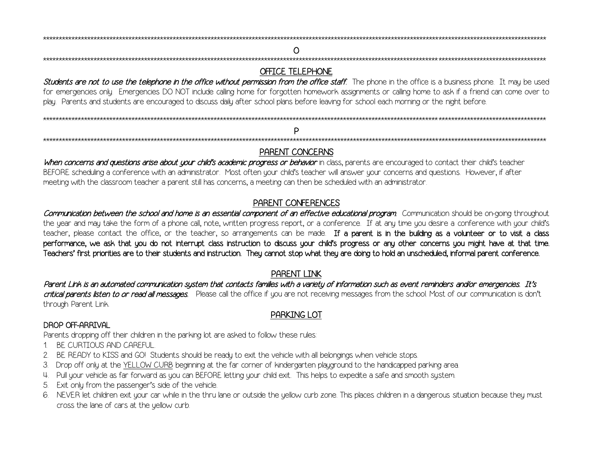#### O

#### **OFFICE TELEPHONE**

Students are not to use the telephone in the office without permission from the office staff. The phone in the office is a business phone. It may be used for emergencies only. Emergencies DO NOT include calling home for forgotten homework assignments or calling home to ask if a friend can come over to play. Parents and students are encouraged to discuss daily after school plans before leaving for school each morning or the night before.

### PARENT CONCERNS

When concerns and questions arise about your child's academic progress or behavior in class, parents are encouraged to contact their child's teacher BEFORE scheduling a conference with an administrator. Most often your child's teacher will answer your concerns and questions. However, if after meeting with the classroom teacher a parent still has concerns, a meeting can then be scheduled with an administrator.

## PARENT CONFERENCES

Communication between the school and home is an essential component of an effective educational program. Communication should be on-going throughout the year and may take the form of a phone call, note, written progress report, or a conference. If at any time you desire a conference with your child's teacher, please contact the office, or the teacher, so arrangements can be made. If a parent is in the building as a volunteer or to visit a class performance, we ask that you do not interrupt class instruction to discuss your child's progress or any other concerns you might have at that time. Teachers' first priorities are to their students and instruction. They cannot stop what they are doing to hold an unscheduled, informal parent conference.

#### **PARENT LINK**

Parent Link is an automated communication sustem that contacts families with a variety of information such as event reminders and/or emergencies. It's critical parents listen to or read all messages. Please call the office if you are not receiving messages from the school. Most of our communication is don't through Parent Link.

#### PARKING LOT

#### **DROP OFF-ARRIVAL**

Parents dropping off their children in the parking lot are asked to follow these rules:

- 1 BE CURTIOUS AND CAREFUL
- 2. BE READY to KISS and GO! Students should be ready to exit the vehicle with all belongings when vehicle stops.
- 3. Drop off only at the YELLOW CURB beginning at the far corner of kindergarten playground to the handicapped parking area.
- 4. Pull your vehicle as far forward as you can BEFORE letting your child exit. This helps to expedite a safe and smooth system.
- 5. Exit only from the passenger's side of the vehicle.
- 6. NEVER let children exit your car while in the thru lane or outside the yellow curb zone. This places children in a dangerous situation because they must cross the lane of cars at the yellow curb.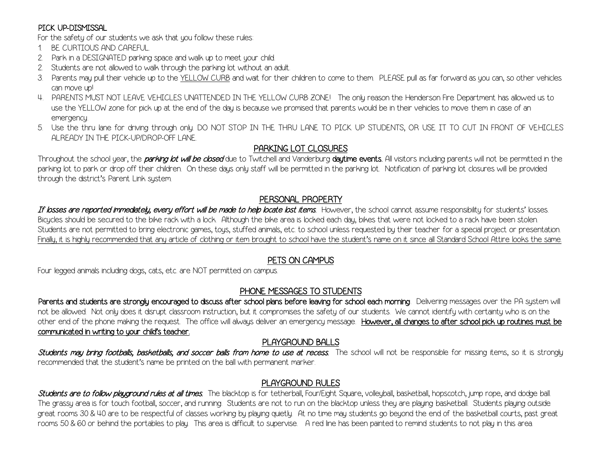## PICK UP-DISMISSAL

For the safety of our students we ask that you follow these rules:

- 1. BE CURTIOUS AND CAREFUL.
- 2. Park in a DESIGNATED parking space and walk up to meet your child.
- 2. Students are not allowed to walk through the parking lot without an adult.
- 3. Parents may pull their vehicle up to the YELLOW CURB and wait for their children to come to them. PLEASE pull as far forward as you can, so other vehicles can move up!
- 4. PARENTS MUST NOT LEAVE VEHICLES UNATTENDED IN THE YELLOW CURB ZONE! The only reason the Henderson Fire Department has allowed us to use the YELLOW zone for pick up at the end of the day is because we promised that parents would be in their vehicles to move them in case of an emergency.
- 5. Use the thru lane for driving through only. DO NOT STOP IN THE THRU LANE TO PICK UP STUDENTS, OR USE IT TO CUT IN FRONT OF VEHICLES ALREADY IN THE PICK-UP/DROP-OFF LANE.

## PARKING LOT CLOSURES

Throughout the school year, the *parking lot will be closed* due to Twitchell and Vanderburg daytime events. All visitors including parents will not be permitted in the parking lot to park or drop off their children. On these days only staff will be permitted in the parking lot. Notification of parking lot closures will be provided through the district's Parent Link system.

## PERSONAL PROPERTY

If losses are reported immediately, every effort will be made to help locate lost items. However, the school cannot assume responsibility for students' losses. Bicycles should be secured to the bike rack with a lock. Although the bike area is locked each day, bikes that were not locked to a rack have been stolen. Students are not permitted to bring electronic games, toys, stuffed animals, etc. to school unless requested by their teacher for a special project or presentation. Finally, it is highly recommended that any article of clothing or item brought to school have the student's name on it since all Standard School Attire looks the same.

## PETS ON CAMPUS

Four legged animals including dogs, cats, etc. are NOT permitted on campus.

## PHONE MESSAGES TO STUDENTS

Parents and students are strongly encouraged to discuss after school plans before leaving for school each morning. Delivering messages over the PA system will not be allowed. Not only does it disrupt classroom instruction, but it compromises the safety of our students. We cannot identify with certainty who is on the other end of the phone making the request. The office will always deliver an emergency message. However, all changes to after school pick up routines must be communicated in writing to your child's teacher.

## PLAYGROUND BALLS

Students may bring footballs, basketballs, and soccer balls from home to use at recess. The school will not be responsible for missing items, so it is strongly recommended that the student's name be printed on the ball with permanent marker.

## PLAYGROUND RULES

Students are to follow playground rules at all times. The blacktop is for tetherball, Four/Eight Square, volleyball, basketball, hopscotch, jump rope, and dodge ball. The grassy area is for touch football, soccer, and running. Students are not to run on the blacktop unless they are playing basketball. Students playing outside great rooms 30 & 40 are to be respectful of classes working by playing quietly. At no time may students go beyond the end of the basketball courts, past great rooms 50 & 60 or behind the portables to play. This area is difficult to supervise. A red line has been painted to remind students to not play in this area.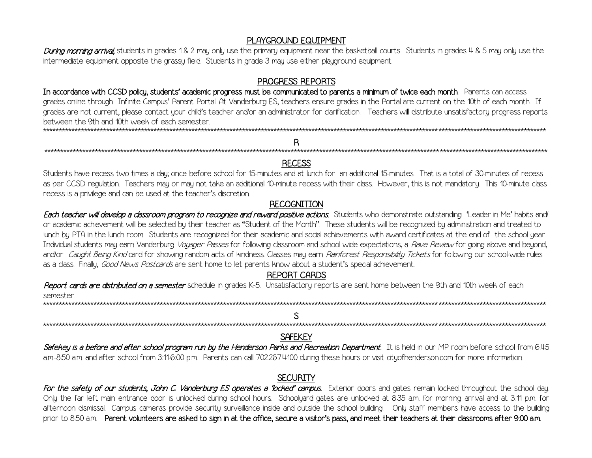## PLAYGROUND EQUIPMENT

During morning arrival, students in grades 1& 2 may only use the primary equipment near the basketball courts. Students in grades 4 & 5 may only use the intermediate equipment opposite the grassy field. Students in grade 3 may use either playground equipment.

#### PROGRESS REPORTS

In accordance with CCSD policy, students' academic progress must be communicated to parents a minimum of twice each month. Parents can access grades online through Infinite Campus' Parent Portal At Vanderburg ES, teachers ensure grades in the Portal are current on the 10th of each month. If grades are not current, please contact your child's teacher and/or an administrator for clarification. Teachers will distribute unsatisfactory progress reports between the 9th and 10th week of each semester 

## R

#### **RECESS**

Students have recess two times a day once before school for 15-minutes and at lunch for an additional 15-minutes. That is a total of 30-minutes of recess as per CCSD regulation. Teachers may or may not take an additional 10-minute recess with their class. However, this is not mandatory. This 10-minute class recess is a privilege and can be used at the teacher's discretion.

#### **RECOGNITION**

Each teacher will develop a classroom program to recognize and reward positive actions. Students who demonstrate outstanding 'Leader in Me' habits and or academic achievement will be selected by their teacher as "Student of the Month". These students will be recognized by administration and treated to lunch by PTA in the lunch room. Students are recognized for their academic and social achievements with award certificates at the end of the school year. Individual students may earn Vanderburg Voyager Passes for following classroom and school wide expectations, a Rave Review for going above and beyond, and/or Caught Being Kind card for showing random acts of kindness. Classes may earn Rainforest Responsibility Tickets for following our school-wide rules as a class. Finally, Good News Postcards are sent home to let parents know about a student's special achievement.

#### **REPORT CARDS**

Report cards are distributed on a semester schedule in grades K-5. Unsatisfactory reports are sent home between the 9th and 10th week of each semester

## S

\*\*\*\*\*\*\*\*\*\*\*\*\*\*\*\*\*\*\*

#### **SAFFKEY**

Safekey is a before and after school program run by the Henderson Parks and Recreation Department. It is held in our MP room before school from 6:45 a.m.-8.50 a.m. and after school from 3:11-6:00 p.m. Parents can call 702.267.4100 during these hours or visit cityofhenderson.com for more information.

## **SECURITY**

For the safety of our students, John C. Vanderburg ES operates a 'locked' campus. Exterior doors and gates remain locked throughout the school day. Only the far left main entrance door is unlocked during school hours. Schoolyard gates are unlocked at 8:35 am, for morning arrival and at 3:11 p.m. for afternoon dismissal. Campus cameras provide security surveillance inside and outside the school building. Only staff members have access to the building prior to 8:50 am. Parent volunteers are asked to sign in at the office, secure a visitor's pass, and meet their teachers at their classrooms after 9:00 am.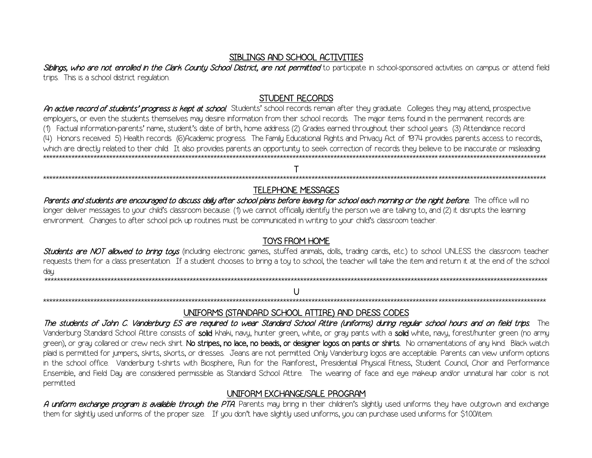#### SIBLINGS AND SCHOOL ACTIVITIES

Siblings, who are not enrolled in the Clark County School District, are not permitted to participate in school-sponsored activities on campus or attend field trips. This is a school district regulation.

## **STUDENT RECORDS**

An active record of students' progress is kept at school. Students' school records remain after they graduate. Colleges they may attend, prospective emplouers, or even the students themselves may desire information from their school records. The major items found in the permanent records are: (1) Factual information-parents' name, student's date of birth, home address (2) Grades earned throughout their school years (3) Attendance record (4) Honors received 5) Health records (6)Academic progress. The Family Educational Rights and Privacy Act of 1974 provides parents access to records, which are directlu related to their child. It also provides parents an opportunity to seek correction of records they believe to be inaccurate or misleading. 

## 

## **TELEPHONE MESSAGES**

Parents and students are encouraged to discuss daily after school plans before leaving for school each morning or the night before. The office will no longer deliver messages to your child's classroom because: (1) we cannot officially identify the person we are talking to, and (2) it disrupts the learning environment. Changes to after school pick up routines must be communicated in writing to your child's classroom teacher.

## **TOYS FROM HOME**

Students are NOT allowed to bring tous (including electronic games, stuffed animals, dolls, trading cards, etc.) to school UNLESS the classroom teacher requests them for a class presentation. If a student chooses to bring a toy to school, the teacher will take the item and return it at the end of the school day.

#### U \*\*\*\*\*\*\*\*\*\*\*\*\*\*\*\*\*\*\*\*\*\*

## UNIFORMS (STANDARD SCHOOL ATTIRE) AND DRESS CODES

The students of John C. Vanderburg ES are required to wear Standard School Attire (uniforms) during regular school hours and on field trips. The Vanderburg Standard School Attire consists of solid khaki, navy, hunter green, white, or gray pants with a solid white, navy, forest/hunter green (no army green), or gray collared or crew neck shirt. No stripes, no lace, no beads, or designer logos on pants or shirts. No ornamentations of any kind. Black watch plaid is permitted for jumpers, skirts, skorts, or dresses. Jeans are not permitted. Only Vanderburg logos are acceptable. Parents can view uniform options in the school office. Vanderburg t-shirts with Biosphere, Run for the Rainforest, Presidential Physical Fitness, Student Council, Choir and Performance Ensemble, and Field Day are considered permissible as Standard School Attire. The wearing of face and eye makeup and/or unnatural hair color is not permitted.

## UNIFORM EXCHANGE/SALE PROGRAM

A uniform exchange program is available through the PTA. Parents may bring in their children's slightly used uniforms they have outgrown and exchange them for slightly used uniforms of the proper size. If you don't have slightly used uniforms, you can purchase used uniforms for \$1.00/item.